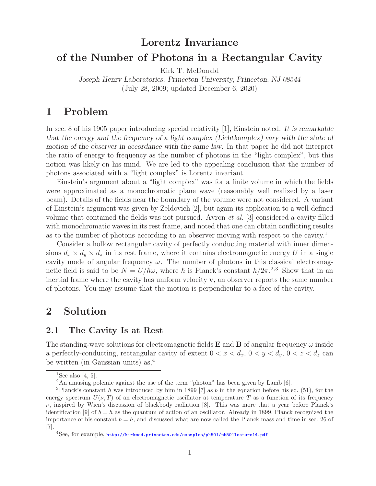# **Lorentz Invariance of the Number of Photons in a Rectangular Cavity**

Kirk T. McDonald

*Joseph Henry Laboratories, Princeton University, Princeton, NJ 08544* (July 28, 2009; updated December 6, 2020)

## **1 Problem**

In sec. 8 of his 1905 paper introducing special relativity [1], Einstein noted: *It is remarkable that the energy and the frequency of a light complex (Lichtkomplex) vary with the state of motion of the observer in accordance with the same law.* In that paper he did not interpret the ratio of energy to frequency as the number of photons in the "light complex", but this notion was likely on his mind. We are led to the appealing conclusion that the number of photons associated with a "light complex" is Lorentz invariant.

Einstein's argument about a "light complex" was for a finite volume in which the fields were approximated as a monochromatic plane wave (reasonably well realized by a laser beam). Details of the fields near the boundary of the volume were not considered. A variant of Einstein's argument was given by Zeldovich [2], but again its application to a well-defined volume that contained the fields was not pursued. Avron *et al.* [3] considered a cavity filled with monochromatic waves in its rest frame, and noted that one can obtain conflicting results as to the number of photons according to an observer moving with respect to the cavity.<sup>1</sup>

Consider a hollow rectangular cavity of perfectly conducting material with inner dimensions  $d_x \times d_y \times d_z$  in its rest frame, where it contains electromagnetic energy U in a single cavity mode of angular frequency  $\omega$ . The number of photons in this classical electromagnetic field is said to be  $N = U/\hbar\omega$ , where  $\hbar$  is Planck's constant  $h/2\pi^{2,3}$ . Show that in an inertial frame where the cavity has uniform velocity **v**, an observer reports the same number of photons. You may assume that the motion is perpendicular to a face of the cavity.

### **2 Solution**

#### **2.1 The Cavity Is at Rest**

The standing-wave solutions for electromagnetic fields **E** and **B** of angular frequency  $\omega$  inside a perfectly-conducting, rectangular cavity of extent  $0 < x < d_x$ ,  $0 < y < d_y$ ,  $0 < z < d_z$  can be written (in Gaussian units) as,<sup>4</sup>

<sup>&</sup>lt;sup>1</sup>See also [4, 5].

<sup>2</sup>An amusing polemic against the use of the term "photon" has been given by Lamb [6].

<sup>&</sup>lt;sup>3</sup>Planck's constant h was introduced by him in 1899 [7] as b in the equation before his eq. (51), for the energy spectrum  $U(\nu, T)$  of an electromagnetic oscillator at temperature T as a function of its frequency  $\nu$ , inspired by Wien's discussion of blackbody radiation [8]. This was more that a year before Planck's identification [9] of  $b = h$  as the quantum of action of an oscillator. Already in 1899, Planck recognized the importance of his constant  $b = h$ , and discussed what are now called the Planck mass and time in sec. 26 of [7].

<sup>4</sup>See, for example, http://kirkmcd.princeton.edu/examples/ph501/ph501lecture14.pdf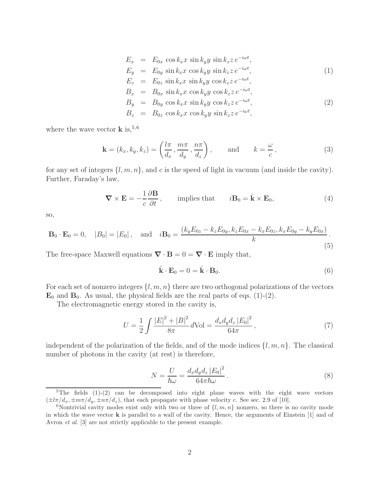$$
E_x = E_{0x} \cos k_x x \sin k_y y \sin k_z z e^{-i\omega t},
$$
  
\n
$$
E_y = E_{0y} \sin k_x x \cos k_y y \sin k_z z e^{-i\omega t},
$$
\n(1)

$$
E_z = E_{0z} \sin k_x x \sin k_y y \cos k_z z e^{-i\omega t},
$$
  
\n
$$
B_x = B_{0x} \sin k_x x \cos k_y y \cos k_z z e^{-i\omega t}.
$$

$$
B_y = B_{0y} \cos k_x x \sin k_y y \cos k_z z e^{-i\omega t},
$$
  
\n
$$
B_z = B_{0z} \cos k_x x \cos k_y y \sin k_z z e^{-i\omega t},
$$
\n(2)

where the wave vector  $\bf{k}$  is,  $5,6$ 

$$
\mathbf{k} = (k_x, k_y, k_z) = \left(\frac{l\pi}{d_x}, \frac{m\pi}{d_y}, \frac{n\pi}{d_z}\right), \quad \text{and} \quad k = \frac{\omega}{c}, \quad (3)
$$

for any set of integers  $\{l, m, n\}$ , and c is the speed of light in vacuum (and inside the cavity). Further, Faraday's law,

$$
\nabla \times \mathbf{E} = -\frac{1}{c} \frac{\partial \mathbf{B}}{\partial t}, \quad \text{implies that} \quad i\mathbf{B}_0 = \hat{\mathbf{k}} \times \mathbf{E}_0,
$$
 (4)

so,

$$
\mathbf{B}_0 \cdot \mathbf{E}_0 = 0, \quad |B_0| = |E_0|, \quad \text{and} \quad i\mathbf{B}_0 = \frac{(k_y E_{0z} - k_z E_{0y}, k_z E_{0x} - k_x E_{0z}, k_x E_{0y} - k_y E_{0x})}{k}.
$$
\n
$$
(5)
$$

The free-space Maxwell equations  $\nabla \cdot \mathbf{B} = 0 = \nabla \cdot \mathbf{E}$  imply that,

$$
\hat{\mathbf{k}} \cdot \mathbf{E}_0 = 0 = \hat{\mathbf{k}} \cdot \mathbf{B}_0. \tag{6}
$$

For each set of nonzero integers  $\{l, m, n\}$  there are two orthogonal polarizations of the vectors  $\mathbf{E}_0$  and  $\mathbf{B}_0$ . As usual, the physical fields are the real parts of eqs. (1)-(2).

The electromagnetic energy stored in the cavity is,

$$
U = \frac{1}{2} \int \frac{|E|^2 + |B|^2}{8\pi} d\text{Vol} = \frac{d_x d_y d_z |E_0|^2}{64\pi},\tag{7}
$$

independent of the polarization of the fields, and of the mode indices  $\{l, m, n\}$ . The classical number of photons in the cavity (at rest) is therefore,

$$
N = \frac{U}{\hbar\omega} = \frac{d_x d_y d_z |E_0|^2}{64\pi \hbar\omega}.
$$
\n(8)

<sup>&</sup>lt;sup>5</sup>The fields  $(1)-(2)$  can be decomposed into eight plane waves with the eight wave vectors  $(\pm l\pi/d_x, \pm m\pi/d_y, \pm n\pi/d_z)$ , that each propagate with phase velocity c. See sec. 2.9 of [10].

<sup>&</sup>lt;sup>6</sup>Nontrivial cavity modes exist only with two or three of  $\{l, m, n\}$  nonzero, so there is no cavity mode in which the wave vector **k** is parallel to a wall of the cavity. Hence, the arguments of Einstein [1] and of Avron *et al.* [3] are not strictly applicable to the present example.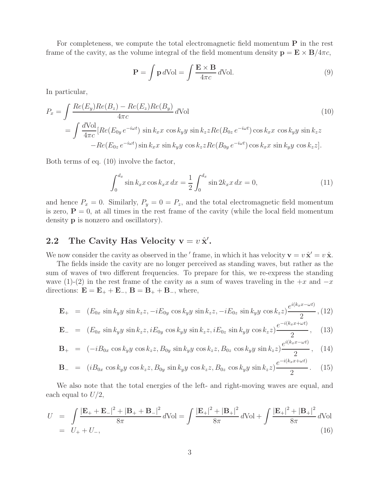For completeness, we compute the total electromagnetic field momentum **P** in the rest frame of the cavity, as the volume integral of the field momentum density  $\mathbf{p} = \mathbf{E} \times \mathbf{B}/4\pi c$ ,

$$
\mathbf{P} = \int \mathbf{p} \, d\text{Vol} = \int \frac{\mathbf{E} \times \mathbf{B}}{4\pi c} \, d\text{Vol}.
$$
 (9)

In particular,

$$
P_x = \int \frac{Re(E_y)Re(B_z) - Re(E_z)Re(B_y)}{4\pi c} dVol
$$
\n
$$
= \int \frac{dVol}{4\pi c} [Re(E_{0y}e^{-i\omega t}) \sin k_x x \cos k_y y \sin k_z z Re(B_{0z}e^{-i\omega t}) \cos k_x x \cos k_y y \sin k_z z - Re(E_{0z}e^{-i\omega t}) \sin k_x x \sin k_y y \cos k_z z Re(B_{0y}e^{-i\omega t}) \cos k_x x \sin k_y y \cos k_z z].
$$
\n(10)

Both terms of eq. (10) involve the factor,

$$
\int_0^{d_x} \sin k_x x \cos k_x x \, dx = \frac{1}{2} \int_0^{d_x} \sin 2k_x x \, dx = 0,\tag{11}
$$

and hence  $P_x = 0$ . Similarly,  $P_y = 0 = P_z$ , and the total electromagnetic field momentum is zero,  $P = 0$ , at all times in the rest frame of the cavity (while the local field momentum density **p** is nonzero and oscillatory).

# **2.2** The Cavity Has Velocity  $v = v \hat{x}'$ .

We now consider the cavity as observed in the ' frame, in which it has velocity  $\mathbf{v} = v \hat{\mathbf{x}}' = v \hat{\mathbf{x}}$ .

The fields inside the cavity are no longer perceived as standing waves, but rather as the sum of waves of two different frequencies. To prepare for this, we re-express the standing wave (1)-(2) in the rest frame of the cavity as a sum of waves traveling in the  $+x$  and  $-x$ directions:  $\mathbf{E} = \mathbf{E}_+ + \mathbf{E}_-, \mathbf{B} = \mathbf{B}_+ + \mathbf{B}_-,$  where,

$$
\mathbf{E}_{+} = (E_{0x} \sin k_{y} y \sin k_{z} z, -iE_{0y} \cos k_{y} y \sin k_{z} z, -iE_{0z} \sin k_{y} y \cos k_{z} z) \frac{e^{i(k_{x} x - \omega t)}}{2}, (12)
$$

$$
\mathbf{E}_{-} = (E_{0x} \sin k_{y} y \sin k_{z} z, iE_{0y} \cos k_{y} y \sin k_{z} z, iE_{0z} \sin k_{y} y \cos k_{z} z) \frac{e^{-i(k_{x} x + \omega t)}}{2}, \quad (13)
$$

$$
\mathbf{B}_{+} = (-iB_{0x} \cos k_{y}y \cos k_{z}z, B_{0y} \sin k_{y}y \cos k_{z}z, B_{0z} \cos k_{y}y \sin k_{z}z) \frac{e^{i(k_{xx}-2x)}}{2}, \quad (14)
$$

$$
\mathbf{B}_{-} = (i B_{0x} \cos k_{y} y \cos k_{z} z, B_{0y} \sin k_{y} y \cos k_{z} z, B_{0z} \cos k_{y} y \sin k_{z} z) \frac{e^{-i(k_{x} x + 2z)}}{2}.
$$
 (15)

We also note that the total energies of the left- and right-moving waves are equal, and each equal to  $U/2$ ,

$$
U = \int \frac{|\mathbf{E}_{+} + \mathbf{E}_{-}|^{2} + |\mathbf{B}_{+} + \mathbf{B}_{-}|^{2}}{8\pi} d\text{Vol} = \int \frac{|\mathbf{E}_{+}|^{2} + |\mathbf{B}_{+}|^{2}}{8\pi} d\text{Vol} + \int \frac{|\mathbf{E}_{+}|^{2} + |\mathbf{B}_{+}|^{2}}{8\pi} d\text{Vol}
$$
  
=  $U_{+} + U_{-},$  (16)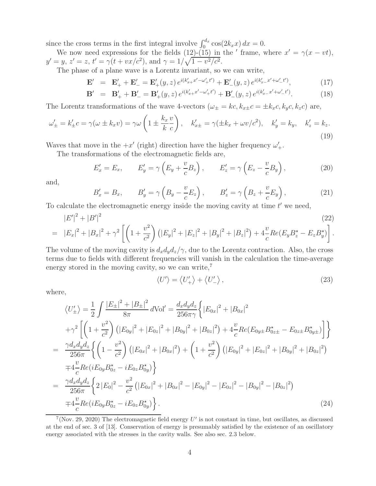since the cross terms in the first integral involve  $\int_0^{d_x} \cos(2k_x x) dx = 0$ .

We now need expressions for the fields (12)-(15) in the  $'$  frame, where  $x' = \gamma(x - vt)$ ,  $y' = y, z' = z, t' = \gamma(t + vx/c^2), \text{ and } \gamma = 1/\sqrt{1 - v^2/c^2}.$ 

The phase of a plane wave is a Lorentz invariant, so we can write,

$$
\mathbf{E}' = \mathbf{E}'_+ + \mathbf{E}'_- = \mathbf{E}'_+(y, z) e^{i(k'_{x+}x' - \omega'_+t')} + \mathbf{E}'_-(y, z) e^{i(k'_{x-}x' + \omega'_-t')}, \tag{17}
$$

$$
\mathbf{B}' = \mathbf{B}'_+ + \mathbf{B}'_- = \mathbf{B}'_+(y, z) e^{i(k'_{x+}x' - \omega'_+t')} + \mathbf{B}'_-(y, z) e^{i(k'_{x-}x' + \omega'_-t')}.
$$
(18)

The Lorentz transformations of the wave 4-vectors  $(\omega_{\pm} = kc, k_{x\pm}c = \pm k_{x}c, k_{y}c, k_{z}c)$  are,

$$
\omega'_{\pm} = k'_{\pm}c = \gamma(\omega \pm k_x v) = \gamma\omega \left(1 \pm \frac{k_x v}{k c}\right), \quad k'_{x\pm} = \gamma(\pm k_x + \omega v/c^2), \quad k'_y = k_y, \quad k'_z = k_z.
$$
\n(19)

Waves that move in the  $+x'$  (right) direction have the higher frequency  $\omega'_+$ .

The transformations of the electromagnetic fields are,

$$
E'_x = E_x, \qquad E'_y = \gamma \left( E_y + \frac{v}{c} B_z \right), \qquad E'_z = \gamma \left( E_z - \frac{v}{c} B_y \right), \tag{20}
$$

and,

$$
B'_x = B_x, \qquad B'_y = \gamma \left( B_y - \frac{v}{c} E_z \right), \qquad B'_z = \gamma \left( B_z + \frac{v}{c} E_y \right), \tag{21}
$$

To calculate the electromagnetic energy inside the moving cavity at time  $t'$  we need,

$$
|E'|^2 + |B'|^2
$$
\n
$$
= |E_x|^2 + |B_x|^2 + \gamma^2 \left[ \left( 1 + \frac{v^2}{c^2} \right) \left( |E_y|^2 + |E_z|^2 + |B_y|^2 + |B_z|^2 \right) + 4 \frac{v}{c} Re(E_y B_z^* - E_z B_y^*) \right].
$$
\n(22)

The volume of the moving cavity is  $d_x d_y d_z / \gamma$ , due to the Lorentz contraction. Also, the cross terms due to fields with different frequencies will vanish in the calculation the time-average energy stored in the moving cavity, so we can write, $^7$ 

$$
\langle U' \rangle = \langle U'_{+} \rangle + \langle U'_{-} \rangle, \qquad (23)
$$

where,

$$
\langle U'_{\pm} \rangle = \frac{1}{2} \int \frac{|E_{\pm}|^{2} + |B_{\pm}|^{2}}{8\pi} d\text{Vol}' = \frac{d_{x}d_{y}d_{z}}{256\pi\gamma} \Big\{ |E_{0x}|^{2} + |B_{0x}|^{2} \n+ \gamma^{2} \Big[ \left( 1 + \frac{v^{2}}{c^{2}} \right) \left( |E_{0y}|^{2} + |E_{0z}|^{2} + |B_{0y}|^{2} + |B_{0z}|^{2} \right) + 4 \frac{v}{c} Re(E_{0y\pm} B_{0z\pm}^{*} - E_{0z\pm} B_{0y\pm}^{*} ) \Big] \Big\} \n= \frac{\gamma d_{x}d_{y}d_{z}}{256\pi} \Big\{ \left( 1 - \frac{v^{2}}{c^{2}} \right) \left( |E_{0x}|^{2} + |B_{0x}|^{2} \right) + \left( 1 + \frac{v^{2}}{c^{2}} \right) \left( |E_{0y}|^{2} + |E_{0z}|^{2} + |B_{0y}|^{2} + |B_{0z}|^{2} \right) \n+ 4 \frac{v}{c} Re(iE_{0y} B_{0z}^{*} - iE_{0z} B_{0y}^{*}) \Big\} \n= \frac{\gamma d_{x}d_{y}d_{z}}{256\pi} \Big\{ 2 |E_{0}|^{2} - \frac{v^{2}}{c^{2}} \left( |E_{0x}|^{2} + |B_{0x}|^{2} - |E_{0y}|^{2} - |E_{0z}|^{2} - |B_{0y}|^{2} - |B_{0z}|^{2} \right) \n+ 4 \frac{v}{c} Re(iE_{0y} B_{0z}^{*} - iE_{0z} B_{0y}^{*} ) \Big\} .
$$
\n(24)

 $7$ (Nov. 29, 2020) The electromagnetic field energy U' is not constant in time, but oscillates, as discussed at the end of sec. 3 of [13]. Conservation of energy is presumably satisfied by the existence of an oscillatory energy associated with the stresses in the cavity walls. See also sec. 2.3 below.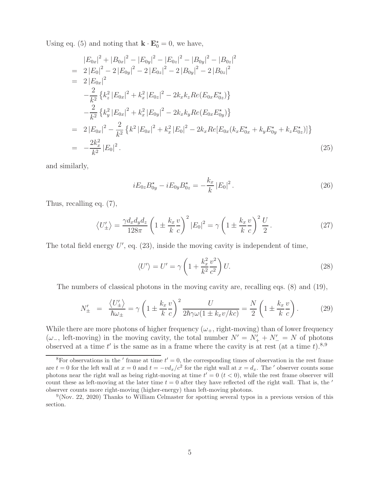Using eq. (5) and noting that  $\mathbf{k} \cdot \mathbf{E}_0^* = 0$ , we have,

$$
|E_{0x}|^2 + |B_{0x}|^2 - |E_{0y}|^2 - |B_{0z}|^2 - |B_{0y}|^2 - |B_{0z}|^2
$$
  
\n
$$
= 2 |E_0|^2 - 2 |E_{0y}|^2 - 2 |E_{0z}|^2 - 2 |B_{0y}|^2 - 2 |B_{0z}|^2
$$
  
\n
$$
= 2 |E_{0x}|^2
$$
  
\n
$$
- \frac{2}{k^2} \{ k_z^2 |E_{0x}|^2 + k_x^2 |E_{0z}|^2 - 2k_x k_z Re(E_{0x} E_{0z}^*) \}
$$
  
\n
$$
- \frac{2}{k^2} \{ k_y^2 |E_{0x}|^2 + k_x^2 |E_{0y}|^2 - 2k_x k_y Re(E_{0x} E_{0y}^*) \}
$$
  
\n
$$
= 2 |E_{0x}|^2 - \frac{2}{k^2} \{ k^2 |E_{0x}|^2 + k_x^2 |E_0|^2 - 2k_x Re[E_{0x}(k_x E_{0x}^* + k_y E_{0y}^* + k_z E_{0z}^*)] \}
$$
  
\n
$$
= -\frac{2k_x^2}{k^2} |E_0|^2.
$$
 (25)

and similarly,

$$
iE_{0z}B_{0y}^* - iE_{0y}B_{0z}^* = -\frac{k_x}{k}|E_0|^2.
$$
 (26)

Thus, recalling eq. (7),

$$
\langle U'_{\pm} \rangle = \frac{\gamma d_x d_y d_z}{128\pi} \left( 1 \pm \frac{k_x v}{k c} \right)^2 |E_0|^2 = \gamma \left( 1 \pm \frac{k_x v}{k c} \right)^2 \frac{U}{2}.
$$
 (27)

The total field energy  $U'$ , eq.  $(23)$ , inside the moving cavity is independent of time,

$$
\langle U' \rangle = U' = \gamma \left( 1 + \frac{k_x^2}{k^2} \frac{v^2}{c^2} \right) U. \tag{28}
$$

The numbers of classical photons in the moving cavity are, recalling eqs. (8) and (19),

$$
N'_{\pm} = \frac{\langle U'_{\pm} \rangle}{\hbar \omega_{\pm}} = \gamma \left( 1 \pm \frac{k_x v}{k c} \right)^2 \frac{U}{2\hbar \gamma \omega (1 \pm k_x v / k c)} = \frac{N}{2} \left( 1 \pm \frac{k_x v}{k c} \right). \tag{29}
$$

While there are more photons of higher frequency  $(\omega_{+},$  right-moving) than of lower frequency ( $\omega$ <sub>−</sub>, left-moving) in the moving cavity, the total number  $N' = N'_{+} + N'_{-} = N$  of photons observed at a time t' is the same as in a frame where the cavity is at rest (at a time t).<sup>8,9</sup>

<sup>&</sup>lt;sup>8</sup>For observations in the  $'$  frame at time  $t' = 0$ , the corresponding times of observation in the rest frame are  $t = 0$  for the left wall at  $x = 0$  and  $t = -vd_x/c^2$  for the right wall at  $x = d_x$ . The ' observer counts some photons near the right wall as being right-moving at time  $t' = 0$   $(t < 0)$ , while the rest frame observer will count these as left-moving at the later time  $t = 0$  after they have reflected off the right wall. That is, the  $\prime$ observer counts more right-moving (higher-energy) than left-moving photons.

 $9$ (Nov. 22, 2020) Thanks to William Celmaster for spotting several typos in a previous version of this section.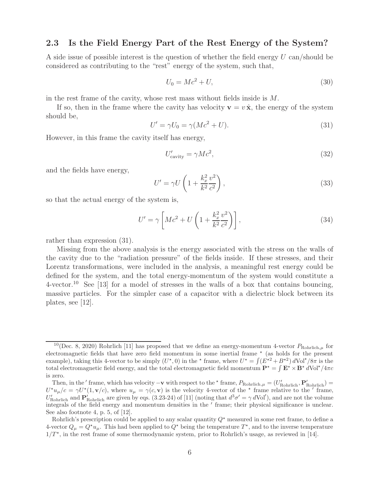### **2.3 Is the Field Energy Part of the Rest Energy of the System?**

A side issue of possible interest is the question of whether the field energy U can/should be considered as contributing to the "rest" energy of the system, such that,

$$
U_0 = Mc^2 + U,\t\t(30)
$$

in the rest frame of the cavity, whose rest mass without fields inside is M.

If so, then in the frame where the cavity has velocity  $\mathbf{v} = v \hat{\mathbf{x}}$ , the energy of the system should be,

$$
U' = \gamma U_0 = \gamma (Mc^2 + U). \tag{31}
$$

However, in this frame the cavity itself has energy,

$$
U'_{\text{cavity}} = \gamma Mc^2,\tag{32}
$$

and the fields have energy,

$$
U' = \gamma U \left( 1 + \frac{k_x^2}{k^2} \frac{v^2}{c^2} \right),\tag{33}
$$

so that the actual energy of the system is,

$$
U' = \gamma \left[ Mc^2 + U \left( 1 + \frac{k_x^2}{k^2} \frac{v^2}{c^2} \right) \right],
$$
\n(34)

rather than expression (31).

Missing from the above analysis is the energy associated with the stress on the walls of the cavity due to the "radiation pressure" of the fields inside. If these stresses, and their Lorentz transformations, were included in the analysis, a meaningful rest energy could be defined for the system, and the total energy-momentum of the system would constitute a  $4$ -vector.<sup>10</sup> See [13] for a model of stresses in the walls of a box that contains bouncing, massive particles. For the simpler case of a capacitor with a dielectric block between its plates, see [12].

<sup>&</sup>lt;sup>10</sup>(Dec. 8, 2020) Rohrlich [11] has proposed that we define an energy-momentum 4-vector  $P_{\text{Rohrlich},\mu}$  for electromagnetic fields that have zero field momentum in some inertial frame  $*$  (as holds for the present example), taking this 4-vector to be simply  $(U^*,0)$  in the  $*$  frame, where  $U^* = \int (E^{*2} + B^{*2}) dVol^* / 8\pi$  is the total electromagnetic field energy, and the total electromagnetic field momentum  $\mathbf{P}^* = \int \mathbf{E}^* \times \mathbf{B}^* dVol^* / 4\pi c$ is zero.

Then, in the  $'$  frame, which has velocity  $-\mathbf{v}$  with respect to the  $*$  frame,  $P_{\text{Rohrlich},\mu} = (U'_{\text{Rohrlich}}, \mathbf{P}'_{\text{Rohrlich}})$  $U^{\star}u_{\mu}/c = \gamma U^{\star}(1, \mathbf{v}/c)$ , where  $u_{\mu} = \gamma(c, \mathbf{v})$  is the velocity 4-vector of the  $\star$  frame relative to the  $\prime$  frame,  $U'_{\text{Rohrlich}}$  and  $\mathbf{P}_{\text{Rohrlich}}'$  are given by eqs. (3.23-24) of [11] (noting that  $d^3\sigma' = \gamma d\text{Vol}'$ ), and are not the volume integrals of the field energy and momentum densities in the  $\prime$  frame; their physical significance is unclear. See also footnote 4, p. 5, of [12].

Rohrlich's prescription could be applied to any scalar quantity  $Q^*$  measured in some rest frame, to define a 4-vector  $Q_{\mu} = Q^{\star}u_{\mu}$ . This had been applied to  $Q^{\star}$  being the temperature  $T^{\star}$ , and to the inverse temperature  $1/T^*$ , in the rest frame of some thermodynamic system, prior to Rohrlich's usage, as reviewed in [14].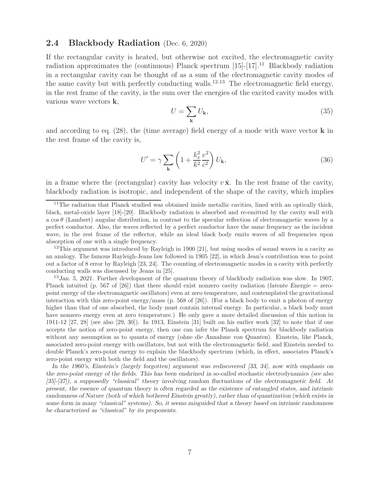#### **2.4 Blackbody Radiation** (Dec. 6, 2020)

If the rectangular cavity is heated, but otherwise not excited, the electromagnetic cavity radiation approximates the (continuous) Planck spectrum  $[15]-[17].^{11}$  Blackbody radiation in a rectangular cavity can be thought of as a sum of the electromagnetic cavity modes of the same cavity but with perfectly conducting walls.<sup>12,13</sup> The electromagnetic field energy, in the rest frame of the cavity, is the sum over the energies of the excited cavity modes with various wave vectors **k**,

$$
U = \sum_{\mathbf{k}} U_{\mathbf{k}},\tag{35}
$$

and according to eq. (28), the (time average) field energy of a mode with wave vector **k** in the rest frame of the cavity is,

$$
U' = \gamma \sum_{\mathbf{k}} \left( 1 + \frac{k_x^2}{k^2} \frac{v^2}{c^2} \right) U_{\mathbf{k}},\tag{36}
$$

in a frame where the (rectangular) cavity has velocity  $v \hat{\mathbf{x}}$ . In the rest frame of the cavity, blackbody radiation is isotropic, and independent of the shape of the cavity, which implies

<sup>12</sup>This argument was introduced by Rayleigh in 1900 [21], but using modes of sound waves in a cavity as an analogy. The famous Rayleigh-Jeans law followed in 1905 [22], in which Jean's contribution was to point out a factor of 8 error by Rayleigh [23, 24]. The counting of electromagnetic modes in a cavity with perfectly conducting walls was discussed by Jeans in [25].

<sup>13</sup>*Jan. 5, 2021.* Further development of the quantum theory of blackbody radiation was slow. In 1907, Planck intuited (p. 567 of [26]) that there should exist nonzero cavity radiation (*latente Energie* = zeropoint energy of the electromagnetic oscillators) even at zero temperature, and contemplated the gravitational interaction with this zero-point energy/mass (p. 568 of [26]). (For a black body to emit a photon of energy higher than that of one absorbed, the body must contain internal energy. In particular, a black body must have nonzero energy even at zero temperature.) He only gave a more detailed discussion of this notion in 1911-12 [27, 28] (see also [29, 30]). In 1913, Einstein [31] built on his earlier work [32] to note that if one accepts the notion of zero-point energy, then one can infer the Planck spectrum for blackbody radiation without any assumption as to quanta of energy (*ohne die Annahme von Quanten*). Einstein, like Planck, associated zero-point energy with oscillators, but not with the electromagnetic field, and Einstein needed to double Planck's zero-point energy to explain the blackbody spectrum (which, in effect, associates Planck's zero-point energy with both the field and the oscillators).

*In the 1960's, Einstein's (largely forgotten) argument was rediscovered [33, 34], now with emphasis on the zero-point energy of the fields. This has been enshrined in so-called* stochastic electrodynamics *(see also [35]-[37]), a supposedly "classical" theory involving random fluctuations of the electromagnetic field. At present, the essence of quantum theory is often regarded as the existence of entangled states, and intrinsic randomness of Nature (both of which bothered Einstein greatly), rather than of quantization (which exists in some form in many "classical" systems). So, it seems misguided that a theory based on intrinsic randomness be characterized as "classical" by its proponents.*

 $11$ The radiation that Planck studied was obtained inside metallic cavities, lined with an optically thick, black, metal-oxide layer [18]-[20]. Blackbody radiation is absorbed and re-emitted by the cavity wall with a  $\cos \theta$  (Lambert) angular distribution, in contrast to the specular reflection of electromagnetic waves by a perfect conductor. Also, the waves reflected by a perfect conductor have the same frequency as the incident wave, in the rest frame of the reflector, while an ideal black body emits waves of all frequencies upon absorption of one with a single frequency.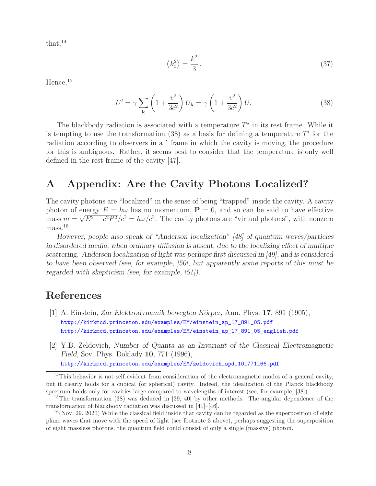that,  $14$ 

$$
\langle k_x^2 \rangle = \frac{k^2}{3} \,. \tag{37}
$$

Hence,  $15$ 

$$
U' = \gamma \sum_{\mathbf{k}} \left( 1 + \frac{v^2}{3c^2} \right) U_{\mathbf{k}} = \gamma \left( 1 + \frac{v^2}{3c^2} \right) U. \tag{38}
$$

The blackbody radiation is associated with a temperature  $T^*$  in its rest frame. While it is tempting to use the transformation  $(38)$  as a basis for defining a temperature T' for the radiation according to observers in a ' frame in which the cavity is moving, the procedure for this is ambiguous. Rather, it seems best to consider that the temperature is only well defined in the rest frame of the cavity [47].

### **A Appendix: Are the Cavity Photons Localized?**

The cavity photons are "localized" in the sense of being "trapped" inside the cavity. A cavity photon of energy  $E = \hbar \omega$  has no momentum,  $P = 0$ , and so can be said to have effective photon of energy  $E = \hbar \omega$  has no momentum,  $\mathbf{r} = 0$ , and so can be said to have enective<br>mass  $m = \sqrt{E^2 - c^2 P^2}/c^2 = \hbar \omega/c^2$ . The cavity photons are "virtual photons", with nonzero mass.<sup>16</sup>

*However, people also speak of "Anderson localization" [48] of quantum waves/particles in disordered media, when ordinary diffusion is absent, due to the localizing effect of multiple scattering. Anderson localization of light was perhaps first discussed in [49], and is considered to have been observed (see, for example, [50], but apparently some reports of this must be regarded with skepticism (see, for example, [51]).*

# **References**

- [1] A. Einstein, *Zur Elektrodynamik bewegten K¨orper*, Ann. Phys. **17**, 891 (1905), http://kirkmcd.princeton.edu/examples/EM/einstein\_ap\_17\_891\_05.pdf http://kirkmcd.princeton.edu/examples/EM/einstein\_ap\_17\_891\_05\_english.pdf
- [2] Y.B. Zeldovich, *Number of Quanta as an Invariant of the Classical Electromagnetic Field*, Sov. Phys. Doklady **10**, 771 (1996), http://kirkmcd.princeton.edu/examples/EM/zeldovich\_spd\_10\_771\_66.pdf

 $14$ This behavior is not self evident from consideration of the electromagnetic modes of a general cavity, but it clearly holds for a cubical (or spherical) cavity. Indeed, the idealization of the Planck blackbody spectrum holds only for cavities large compared to wavelengths of interest (see, for example, [38]).

<sup>&</sup>lt;sup>15</sup>The transformation (38) was deduced in [39, 40] by other methods. The angular dependence of the transformation of blackbody radiation was discussed in [41]–[46].

 $16$ (Nov. 29, 2020) While the classical field inside that cavity can be regarded as the superposition of eight plane waves that move with the speed of light (see footnote 3 above), perhaps suggesting the superposition of eight massless photons, the quantum field could consist of only a single (massive) photon.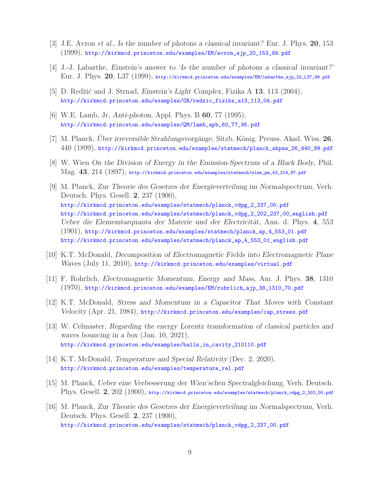- [3] J.E. Avron *et al.*, *Is the number of photons a classical invariant?* Eur. J. Phys. **20**, 153 (1999), http://kirkmcd.princeton.edu/examples/EM/avron\_ejp\_20\_153\_99.pdf
- [4] J.-J. Labarthe, *Einstein's answer to 'Is the number of photons a classical invariant?'* Eur. J. Phys. **20**, L37 (1999), http://kirkmcd.princeton.edu/examples/EM/labarthe\_ejp\_20\_L37\_99.pdf
- [5] D. Redžić and J. Strnad, *Einstein's Light Complex*, Fizika A 13, 113 (2004), http://kirkmcd.princeton.edu/examples/GR/redzic\_fizika\_a13\_113\_04.pdf
- [6] W.E. Lamb, Jr, *Anti-photon*, Appl. Phys. B **60**, 77 (1995), http://kirkmcd.princeton.edu/examples/QM/lamb\_apb\_60\_77\_95.pdf
- [7] M. Planck, *Uber irreversible Strahlungsvorgänge*, Sitzb. König. Preuss. Akad. Wiss. 26, 440 (1899), http://kirkmcd.princeton.edu/examples/statmech/planck\_skpaw\_26\_440\_99.pdf
- [8] W. Wien *On the Division of Energy in the Emission-Spectrum of a Black Body*, Phil. Mag. **43**, 214 (1897), http://kirkmcd.princeton.edu/examples/statmech/wien\_pm\_43\_214\_97.pdf
- [9] M. Planck, *Zur Theorie des Gesetzes der Energieverteilung im Normalspectrum*, Verh. Deutsch. Phys. Gesell. **2**, 237 (1900), http://kirkmcd.princeton.edu/examples/statmech/planck\_vdpg\_2\_237\_00.pdf http://kirkmcd.princeton.edu/examples/statmech/planck\_vdpg\_2\_202\_237\_00\_english.pdf *Ueber die Elememtarquanta der Materie und der Electricität*, Ann. d. Phys. 4, 553 (1901), http://kirkmcd.princeton.edu/examples/statmech/planck\_ap\_4\_553\_01.pdf http://kirkmcd.princeton.edu/examples/statmech/planck\_ap\_4\_553\_01\_english.pdf
- [10] K.T. McDonald, *Decomposition of Electromagnetic Fields into Electromagnetic Plane Waves* (July 11, 2010), http://kirkmcd.princeton.edu/examples/virtual.pdf
- [11] F. Rohrlich, *Electromagnetic Momentum, Energy and Mass*, Am. J. Phys. **38**, 1310 (1970), http://kirkmcd.princeton.edu/examples/EM/rohrlich\_ajp\_38\_1310\_70.pdf
- [12] K.T. McDonald, *Stress and Momentum in a Capacitor That Moves with Constant Velocity* (Apr. 21, 1984), http://kirkmcd.princeton.edu/examples/cap\_stress.pdf
- [13] W. Celmaster, *Regarding the energy Lorentz transformation of classical particles and waves bouncing in a box* (Jan. 10, 2021), http://kirkmcd.princeton.edu/examples/balls\_in\_cavity\_210110.pdf
- [14] K.T. McDonald, *Temperature and Special Relativity* (Dec. 2, 2020), http://kirkmcd.princeton.edu/examples/temperature\_rel.pdf
- [15] M. Planck, *Ueber eine Verbesserung der Wien'schen Spectralgleichung*, Verh. Deutsch. Phys. Gesell. **2**, 202 (1900), http://kirkmcd.princeton.edu/examples/statmech/planck\_vdpg\_2\_202\_00.pdf
- [16] M. Planck, *Zur Theorie des Gesetzes der Energieverteilung im Normalspectrum*, Verh. Deutsch. Phys. Gesell. **2**, 237 (1900), http://kirkmcd.princeton.edu/examples/statmech/planck\_vdpg\_2\_237\_00.pdf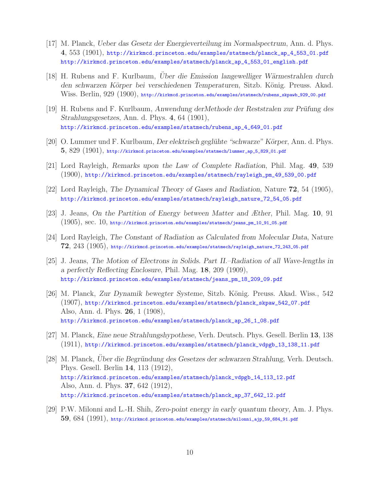- [17] M. Planck, *Ueber das Gesetz der Energieverteilung im Normalspectrum*, Ann. d. Phys. **4**, 553 (1901), http://kirkmcd.princeton.edu/examples/statmech/planck\_ap\_4\_553\_01.pdf http://kirkmcd.princeton.edu/examples/statmech/planck\_ap\_4\_553\_01\_english.pdf
- [18] H. Rubens and F. Kurlbaum, *Uber die Emission langewelliger W¨ ¨ armestrahlen durch den schwarzen K¨orper bei verschiedenen Temperaturen*, Sitzb. K¨onig. Preuss. Akad. Wiss. Berlin, 929 (1900), http://kirkmcd.princeton.edu/examples/statmech/rubens\_skpawb\_929\_00.pdf
- [19] H. Rubens and F. Kurlbaum, *Anwendung derMethode der Reststralen zur Prüfung des Strahlungsgesetzes*, Ann. d. Phys. **4**, 64 (1901), http://kirkmcd.princeton.edu/examples/statmech/rubens\_ap\_4\_649\_01.pdf
- [20] O. Lummer und F. Kurlbaum, *Der elektrisch geglühte "schwarze" Körper*, Ann. d. Phys. **5**, 829 (1901), http://kirkmcd.princeton.edu/examples/statmech/lummer\_ap\_5\_829\_01.pdf
- [21] Lord Rayleigh, *Remarks upon the Law of Complete Radiation*, Phil. Mag. **49**, 539 (1900), http://kirkmcd.princeton.edu/examples/statmech/rayleigh\_pm\_49\_539\_00.pdf
- [22] Lord Rayleigh, *The Dynamical Theory of Gases and Radiation*, Nature **72**, 54 (1905), http://kirkmcd.princeton.edu/examples/statmech/rayleigh\_nature\_72\_54\_05.pdf
- [23] J. Jeans, *On the Partition of Energy between Matter and Æther*, Phil. Mag. **10**, 91  $(1905)$ , SeC.  $10$ , http://kirkmcd.princeton.edu/examples/statmech/jeans\_pm\_10\_91\_05.pdf
- [24] Lord Rayleigh, *The Constant of Radiation as Calculated from Molecular Data*, Nature **72**, 243 (1905), http://kirkmcd.princeton.edu/examples/statmech/rayleigh\_nature\_72\_243\_05.pdf
- [25] J. Jeans, *The Motion of Electrons in Solids. Part II.–Radiation of all Wave-lengths in a perfectly Reflecting Enclosure*, Phil. Mag. **18**, 209 (1909), http://kirkmcd.princeton.edu/examples/statmech/jeans\_pm\_18\_209\_09.pdf
- [26] M. Planck, *Zur Dynamik bewegter Systeme*, Sitzb. König. Preuss. Akad. Wiss., 542 (1907), http://kirkmcd.princeton.edu/examples/statmech/planck\_skpaw\_542\_07.pdf Also, Ann. d. Phys. **26**, 1 (1908), http://kirkmcd.princeton.edu/examples/statmech/planck\_ap\_26\_1\_08.pdf
- [27] M. Planck, *Eine neue Strahlungshypothese*, Verh. Deutsch. Phys. Gesell. Berlin **13**, 138 (1911), http://kirkmcd.princeton.edu/examples/statmech/planck\_vdpgb\_13\_138\_11.pdf
- [28] M. Planck, *Uber die Begründung des Gesetzes der schwarzen Strahlung*, Verh. Deutsch. Phys. Gesell. Berlin **14**, 113 (1912), http://kirkmcd.princeton.edu/examples/statmech/planck\_vdpgb\_14\_113\_12.pdf Also, Ann. d. Phys. **37**, 642 (1912), http://kirkmcd.princeton.edu/examples/statmech/planck\_ap\_37\_642\_12.pdf
- [29] P.W. Milonni and L.-H. Shih, *Zero-point energy in early quantum theory*, Am. J. Phys. **59**, 684 (1991), http://kirkmcd.princeton.edu/examples/statmech/milonni\_ajp\_59\_684\_91.pdf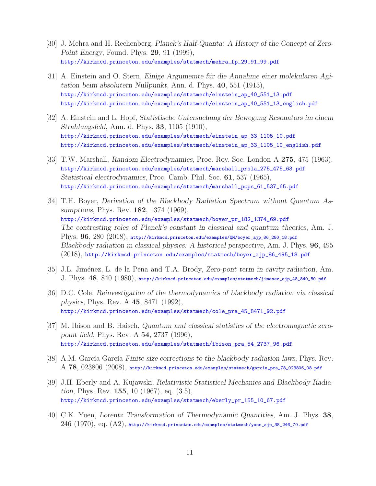- [30] J. Mehra and H. Rechenberg, *Planck's Half-Quanta: A History of the Concept of Zero-Point Energy*, Found. Phys. **29**, 91 (1999), http://kirkmcd.princeton.edu/examples/statmech/mehra\_fp\_29\_91\_99.pdf
- [31] A. Einstein and O. Stern, *Einige Argumemte für die Annahme einer molekularen Agitation beim absolutern Nullpunkt*, Ann. d. Phys. **40**, 551 (1913), http://kirkmcd.princeton.edu/examples/statmech/einstein\_ap\_40\_551\_13.pdf http://kirkmcd.princeton.edu/examples/statmech/einstein\_ap\_40\_551\_13\_english.pdf
- [32] A. Einstein and L. Hopf, *Statistische Untersuchung der Bewegung Resonators im einem Strahlungsfeld*, Ann. d. Phys. **33**, 1105 (1910), http://kirkmcd.princeton.edu/examples/statmech/einstein\_ap\_33\_1105\_10.pdf http://kirkmcd.princeton.edu/examples/statmech/einstein\_ap\_33\_1105\_10\_english.pdf
- [33] T.W. Marshall, *Random Electrodynamics*, Proc. Roy. Soc. London A **275**, 475 (1963), http://kirkmcd.princeton.edu/examples/statmech/marshall\_prsla\_275\_475\_63.pdf *Statistical electrodynamics*, Proc. Camb. Phil. Soc. **61**, 537 (1965), http://kirkmcd.princeton.edu/examples/statmech/marshall\_pcps\_61\_537\_65.pdf
- [34] T.H. Boyer, *Derivation of the Blackbody Radiation Spectrum without Quantum Assumptions*, Phys. Rev. **182**, 1374 (1969), http://kirkmcd.princeton.edu/examples/statmech/boyer\_pr\_182\_1374\_69.pdf *The contrasting roles of Planck's constant in classical and quantum theories*, Am. J. Phys. **96**, 280 (2018), http://kirkmcd.princeton.edu/examples/QM/boyer\_ajp\_86\_280\_18.pdf *Blackbody radiation in classical physics: A historical perspective*, Am. J. Phys. **96**, 495 (2018), http://kirkmcd.princeton.edu/examples/statmech/boyer\_ajp\_86\_495\_18.pdf
- [35] J.L. Jiménez, L. de la Peña and T.A. Brody, *Zero-pont term in cavity radiation*, Am. J. Phys. **48**, 840 (1980), http://kirkmcd.princeton.edu/examples/statmech/jimenez\_ajp\_48\_840\_80.pdf
- [36] D.C. Cole, *Reinvestigation of the thermodynamics of blackbody radiation via classical physics*, Phys. Rev. A **45**, 8471 (1992), http://kirkmcd.princeton.edu/examples/statmech/cole\_pra\_45\_8471\_92.pdf
- [37] M. Ibison and B. Haisch, *Quantum and classical statistics of the electromagnetic zeropoint field*, Phys. Rev. A **54**, 2737 (1996), http://kirkmcd.princeton.edu/examples/statmech/ibison\_pra\_54\_2737\_96.pdf
- [38] A.M. García-García *Finite-size corrections to the blackbody radiation laws*, Phys. Rev. A **78**, 023806 (2008), http://kirkmcd.princeton.edu/examples/statmech/garcia\_pra\_78\_023806\_08.pdf
- [39] J.H. Eberly and A. Kujawski, *Relativistic Statistical Mechanics and Blackbody Radiation*, Phys. Rev. **155**, 10 (1967), eq. (3.5), http://kirkmcd.princeton.edu/examples/statmech/eberly\_pr\_155\_10\_67.pdf
- [40] C.K. Yuen, *Lorentz Transformation of Thermodynamic Quantities*, Am. J. Phys. **38**,  $246$   $(1970)$ , eq.  $(A2)$ , http://kirkmcd.princeton.edu/examples/statmech/yuen\_ajp\_38\_246\_70.pdf